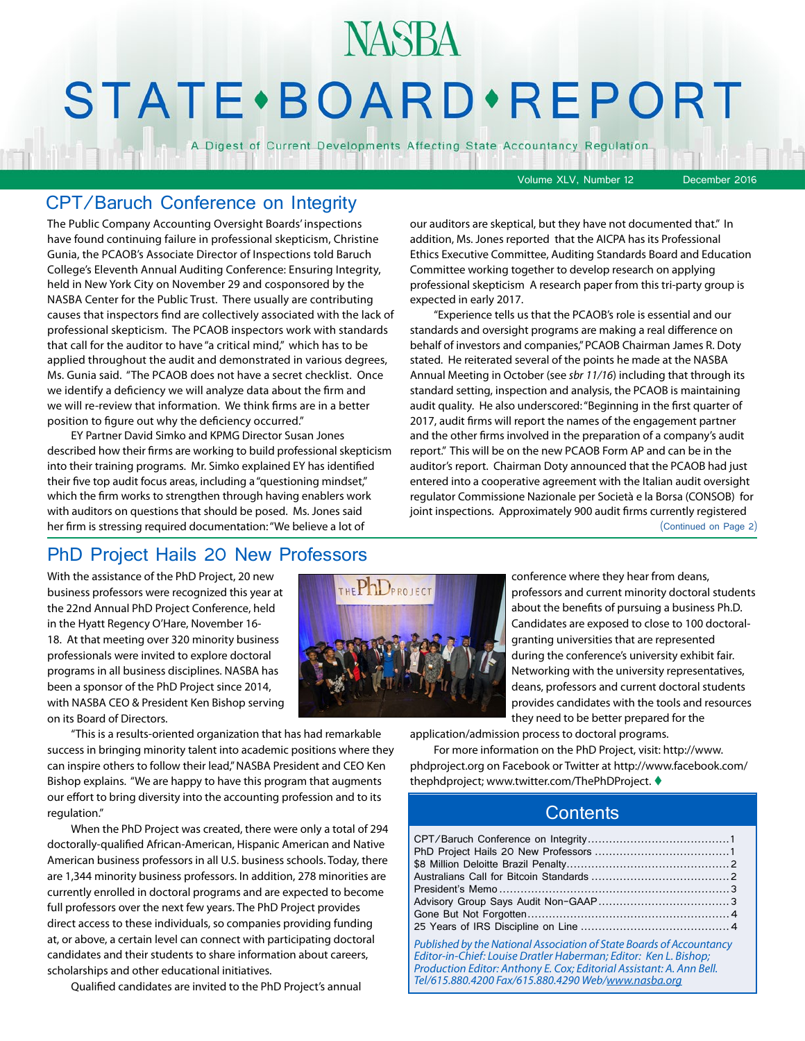# **STATE** · BOARD · REPORT

**NASBA** 

A Digest of Current Developments Affecting State Accountancy Regulation

Volume XLV, Number 12 December 2016

### CPT/Baruch Conference on Integrity

The Public Company Accounting Oversight Boards' inspections have found continuing failure in professional skepticism, Christine Gunia, the PCAOB's Associate Director of Inspections told Baruch College's Eleventh Annual Auditing Conference: Ensuring Integrity, held in New York City on November 29 and cosponsored by the NASBA Center for the Public Trust. There usually are contributing causes that inspectors find are collectively associated with the lack of professional skepticism. The PCAOB inspectors work with standards that call for the auditor to have "a critical mind," which has to be applied throughout the audit and demonstrated in various degrees, Ms. Gunia said. "The PCAOB does not have a secret checklist. Once we identify a deficiency we will analyze data about the firm and we will re-review that information. We think firms are in a better position to figure out why the deficiency occurred."

EY Partner David Simko and KPMG Director Susan Jones described how their firms are working to build professional skepticism into their training programs. Mr. Simko explained EY has identified their five top audit focus areas, including a "questioning mindset," which the firm works to strengthen through having enablers work with auditors on questions that should be posed. Ms. Jones said her firm is stressing required documentation: "We believe a lot of

our auditors are skeptical, but they have not documented that." In addition, Ms. Jones reported that the AICPA has its Professional Ethics Executive Committee, Auditing Standards Board and Education Committee working together to develop research on applying professional skepticism A research paper from this tri-party group is expected in early 2017.

"Experience tells us that the PCAOB's role is essential and our standards and oversight programs are making a real difference on behalf of investors and companies," PCAOB Chairman James R. Doty stated. He reiterated several of the points he made at the NASBA Annual Meeting in October (see *sbr 11/16*) including that through its standard setting, inspection and analysis, the PCAOB is maintaining audit quality. He also underscored: "Beginning in the first quarter of 2017, audit firms will report the names of the engagement partner and the other firms involved in the preparation of a company's audit report." This will be on the new PCAOB Form AP and can be in the auditor's report. Chairman Doty announced that the PCAOB had just entered into a cooperative agreement with the Italian audit oversight regulator Commissione Nazionale per Società e la Borsa (CONSOB) for joint inspections. Approximately 900 audit firms currently registered (Continued on Page 2)

### PhD Project Hails 20 New Professors

With the assistance of the PhD Project, 20 new business professors were recognized this year at the 22nd Annual PhD Project Conference, held in the Hyatt Regency O'Hare, November 16- 18. At that meeting over 320 minority business professionals were invited to explore doctoral programs in all business disciplines. NASBA has been a sponsor of the PhD Project since 2014, with NASBA CEO & President Ken Bishop serving on its Board of Directors.



conference where they hear from deans, professors and current minority doctoral students about the benefits of pursuing a business Ph.D. Candidates are exposed to close to 100 doctoralgranting universities that are represented during the conference's university exhibit fair. Networking with the university representatives, deans, professors and current doctoral students provides candidates with the tools and resources they need to be better prepared for the

"This is a results-oriented organization that has had remarkable success in bringing minority talent into academic positions where they can inspire others to follow their lead," NASBA President and CEO Ken Bishop explains. "We are happy to have this program that augments our effort to bring diversity into the accounting profession and to its regulation."

When the PhD Project was created, there were only a total of 294 doctorally-qualified African-American, Hispanic American and Native American business professors in all U.S. business schools. Today, there are 1,344 minority business professors. In addition, 278 minorities are currently enrolled in doctoral programs and are expected to become full professors over the next few years. The PhD Project provides direct access to these individuals, so companies providing funding at, or above, a certain level can connect with participating doctoral candidates and their students to share information about careers, scholarships and other educational initiatives.

Qualified candidates are invited to the PhD Project's annual

application/admission process to doctoral programs.

For more information on the PhD Project, visit: http://www. phdproject.org on Facebook or Twitter at http://www.facebook.com/ thephdproject; www.twitter.com/ThePhDProject. ♦

### **Contents**

*Published by the National Association of State Boards of Accountancy Editor-in-Chief: Louise Dratler Haberman; Editor: Ken L. Bishop; Production Editor: Anthony E. Cox; Editorial Assistant: A. Ann Bell. Tel/615.880.4200 Fax/615.880.4290 Web/[www.nasba.org](http://www.nasba.org)*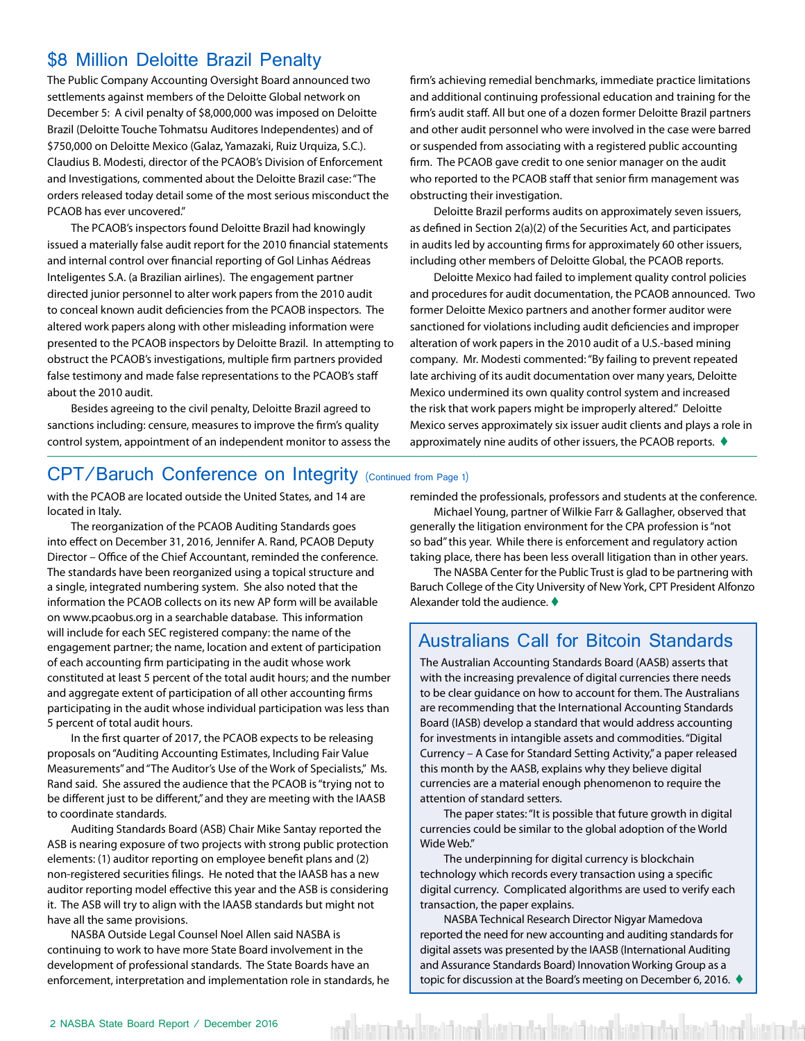### <span id="page-1-0"></span>\$8 Million Deloitte Brazil Penalty

The Public Company Accounting Oversight Board announced two settlements against members of the Deloitte Global network on December 5: A civil penalty of \$8,000,000 was imposed on Deloitte Brazil (Deloitte Touche Tohmatsu Auditores Independentes) and of \$750,000 on Deloitte Mexico (Galaz, Yamazaki, Ruiz Urquiza, S.C.). Claudius B. Modesti, director of the PCAOB's Division of Enforcement and Investigations, commented about the Deloitte Brazil case: "The orders released today detail some of the most serious misconduct the PCAOB has ever uncovered."

The PCAOB's inspectors found Deloitte Brazil had knowingly issued a materially false audit report for the 2010 financial statements and internal control over financial reporting of Gol Linhas Aédreas Inteligentes S.A. (a Brazilian airlines). The engagement partner directed junior personnel to alter work papers from the 2010 audit to conceal known audit deficiencies from the PCAOB inspectors. The altered work papers along with other misleading information were presented to the PCAOB inspectors by Deloitte Brazil. In attempting to obstruct the PCAOB's investigations, multiple firm partners provided false testimony and made false representations to the PCAOB's staff about the 2010 audit.

Besides agreeing to the civil penalty, Deloitte Brazil agreed to sanctions including: censure, measures to improve the firm's quality control system, appointment of an independent monitor to assess the firm's achieving remedial benchmarks, immediate practice limitations and additional continuing professional education and training for the firm's audit staff. All but one of a dozen former Deloitte Brazil partners and other audit personnel who were involved in the case were barred or suspended from associating with a registered public accounting firm. The PCAOB gave credit to one senior manager on the audit who reported to the PCAOB staff that senior firm management was obstructing their investigation.

Deloitte Brazil performs audits on approximately seven issuers, as defined in Section 2(a)(2) of the Securities Act, and participates in audits led by accounting firms for approximately 60 other issuers, including other members of Deloitte Global, the PCAOB reports.

Deloitte Mexico had failed to implement quality control policies and procedures for audit documentation, the PCAOB announced. Two former Deloitte Mexico partners and another former auditor were sanctioned for violations including audit deficiencies and improper alteration of work papers in the 2010 audit of a U.S.-based mining company. Mr. Modesti commented: "By failing to prevent repeated late archiving of its audit documentation over many years, Deloitte Mexico undermined its own quality control system and increased the risk that work papers might be improperly altered." Deloitte Mexico serves approximately six issuer audit clients and plays a role in approximately nine audits of other issuers, the PCAOB reports.  $\blacklozenge$ 

### CPT/Baruch Conference on Integrity (Continued from Page 1)

with the PCAOB are located outside the United States, and 14 are located in Italy.

The reorganization of the PCAOB Auditing Standards goes into effect on December 31, 2016, Jennifer A. Rand, PCAOB Deputy Director – Office of the Chief Accountant, reminded the conference. The standards have been reorganized using a topical structure and a single, integrated numbering system. She also noted that the information the PCAOB collects on its new AP form will be available on www.pcaobus.org in a searchable database. This information will include for each SEC registered company: the name of the engagement partner; the name, location and extent of participation of each accounting firm participating in the audit whose work constituted at least 5 percent of the total audit hours; and the number and aggregate extent of participation of all other accounting firms participating in the audit whose individual participation was less than 5 percent of total audit hours.

In the first quarter of 2017, the PCAOB expects to be releasing proposals on "Auditing Accounting Estimates, Including Fair Value Measurements" and "The Auditor's Use of the Work of Specialists," Ms. Rand said. She assured the audience that the PCAOB is "trying not to be different just to be different," and they are meeting with the IAASB to coordinate standards.

Auditing Standards Board (ASB) Chair Mike Santay reported the ASB is nearing exposure of two projects with strong public protection elements: (1) auditor reporting on employee benefit plans and (2) non-registered securities filings. He noted that the IAASB has a new auditor reporting model effective this year and the ASB is considering it. The ASB will try to align with the IAASB standards but might not have all the same provisions.

NASBA Outside Legal Counsel Noel Allen said NASBA is continuing to work to have more State Board involvement in the development of professional standards. The State Boards have an enforcement, interpretation and implementation role in standards, he reminded the professionals, professors and students at the conference.

Michael Young, partner of Wilkie Farr & Gallagher, observed that generally the litigation environment for the CPA profession is "not so bad" this year. While there is enforcement and regulatory action taking place, there has been less overall litigation than in other years.

The NASBA Center for the Public Trust is glad to be partnering with Baruch College of the City University of New York, CPT President Alfonzo Alexander told the audience.  $\blacklozenge$ 

### Australians Call for Bitcoin Standards

The Australian Accounting Standards Board (AASB) asserts that with the increasing prevalence of digital currencies there needs to be clear guidance on how to account for them. The Australians are recommending that the International Accounting Standards Board (IASB) develop a standard that would address accounting for investments in intangible assets and commodities. "Digital Currency – A Case for Standard Setting Activity," a paper released this month by the AASB, explains why they believe digital currencies are a material enough phenomenon to require the attention of standard setters.

The paper states: "It is possible that future growth in digital currencies could be similar to the global adoption of the World Wide Web."

The underpinning for digital currency is blockchain technology which records every transaction using a specific digital currency. Complicated algorithms are used to verify each transaction, the paper explains.

NASBA Technical Research Director Nigyar Mamedova reported the need for new accounting and auditing standards for digital assets was presented by the IAASB (International Auditing and Assurance Standards Board) Innovation Working Group as a topic for discussion at the Board's meeting on December 6, 2016.

فاست اهتما أتصبن أتلستنا مفاست اهتما أتمين أتلسن أمفاست اعتما أتصبن أتستنا مفاستهم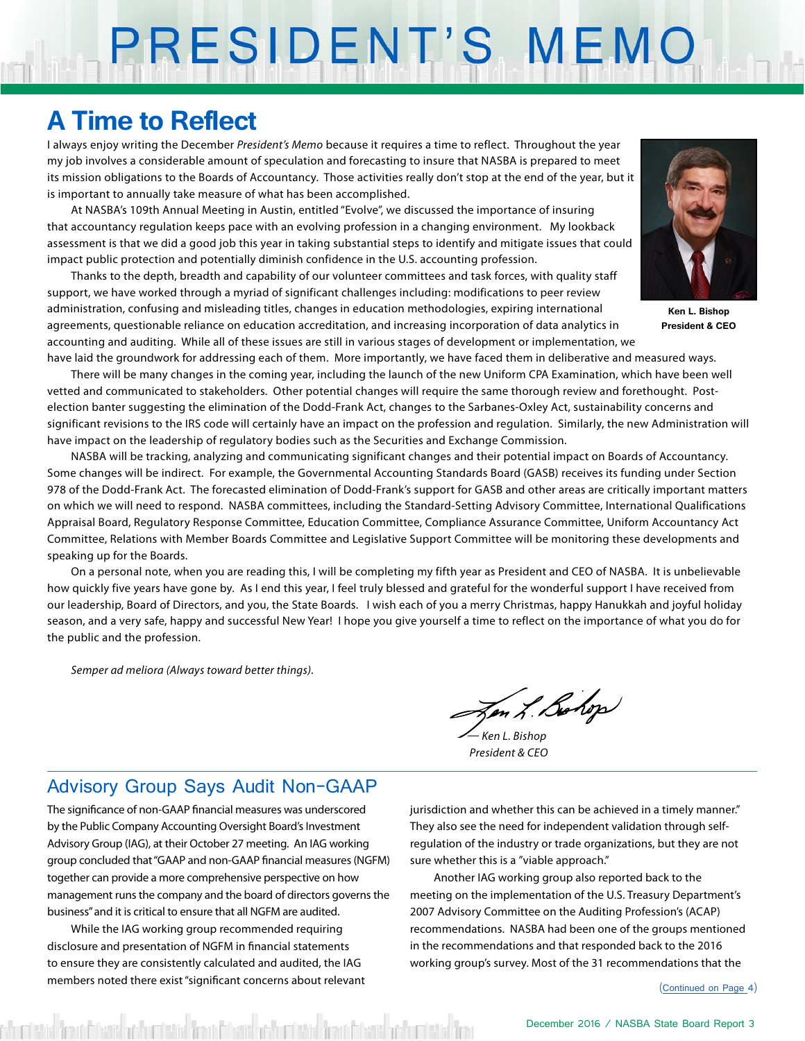# <span id="page-2-0"></span>PRESIDENT'S MEMO

### **A Time to Reflect**

I always enjoy writing the December *President's Memo* because it requires a time to reflect. Throughout the year my job involves a considerable amount of speculation and forecasting to insure that NASBA is prepared to meet its mission obligations to the Boards of Accountancy. Those activities really don't stop at the end of the year, but it is important to annually take measure of what has been accomplished.

At NASBA's 109th Annual Meeting in Austin, entitled "Evolve", we discussed the importance of insuring that accountancy regulation keeps pace with an evolving profession in a changing environment. My lookback assessment is that we did a good job this year in taking substantial steps to identify and mitigate issues that could impact public protection and potentially diminish confidence in the U.S. accounting profession.

Thanks to the depth, breadth and capability of our volunteer committees and task forces, with quality staff support, we have worked through a myriad of significant challenges including: modifications to peer review administration, confusing and misleading titles, changes in education methodologies, expiring international agreements, questionable reliance on education accreditation, and increasing incorporation of data analytics in accounting and auditing. While all of these issues are still in various stages of development or implementation, we have laid the groundwork for addressing each of them. More importantly, we have faced them in deliberative and measured ways.



**Ken L. Bishop President & CEO**

There will be many changes in the coming year, including the launch of the new Uniform CPA Examination, which have been well vetted and communicated to stakeholders. Other potential changes will require the same thorough review and forethought. Postelection banter suggesting the elimination of the Dodd-Frank Act, changes to the Sarbanes-Oxley Act, sustainability concerns and significant revisions to the IRS code will certainly have an impact on the profession and regulation. Similarly, the new Administration will have impact on the leadership of regulatory bodies such as the Securities and Exchange Commission.

NASBA will be tracking, analyzing and communicating significant changes and their potential impact on Boards of Accountancy. Some changes will be indirect. For example, the Governmental Accounting Standards Board (GASB) receives its funding under Section 978 of the Dodd-Frank Act. The forecasted elimination of Dodd-Frank's support for GASB and other areas are critically important matters on which we will need to respond. NASBA committees, including the Standard-Setting Advisory Committee, International Qualifications Appraisal Board, Regulatory Response Committee, Education Committee, Compliance Assurance Committee, Uniform Accountancy Act Committee, Relations with Member Boards Committee and Legislative Support Committee will be monitoring these developments and speaking up for the Boards.

On a personal note, when you are reading this, I will be completing my fifth year as President and CEO of NASBA. It is unbelievable how quickly five years have gone by. As I end this year, I feel truly blessed and grateful for the wonderful support I have received from our leadership, Board of Directors, and you, the State Boards. I wish each of you a merry Christmas, happy Hanukkah and joyful holiday season, and a very safe, happy and successful New Year! I hope you give yourself a time to reflect on the importance of what you do for the public and the profession.

*Semper ad meliora (Always toward better things).*

Jen L. Bohop

*— Ken L. Bishop President & CEO*

### Advisory Group Says Audit Non-GAAP

The significance of non-GAAP financial measures was underscored by the Public Company Accounting Oversight Board's Investment Advisory Group (IAG), at their October 27 meeting. An IAG working group concluded that "GAAP and non-GAAP financial measures (NGFM) together can provide a more comprehensive perspective on how management runs the company and the board of directors governs the business" and it is critical to ensure that all NGFM are audited.

While the IAG working group recommended requiring disclosure and presentation of NGFM in financial statements to ensure they are consistently calculated and audited, the IAG members noted there exist "significant concerns about relevant

id frau filmis antumistic frau filmis antumistic frau filmis antumistic fra

jurisdiction and whether this can be achieved in a timely manner." They also see the need for independent validation through selfregulation of the industry or trade organizations, but they are not sure whether this is a "viable approach."

Another IAG working group also reported back to the meeting on the implementation of the U.S. Treasury Department's 2007 Advisory Committee on the Auditing Profession's (ACAP) recommendations. NASBA had been one of the groups mentioned in the recommendations and that responded back to the 2016 working group's survey. Most of the 31 recommendations that the